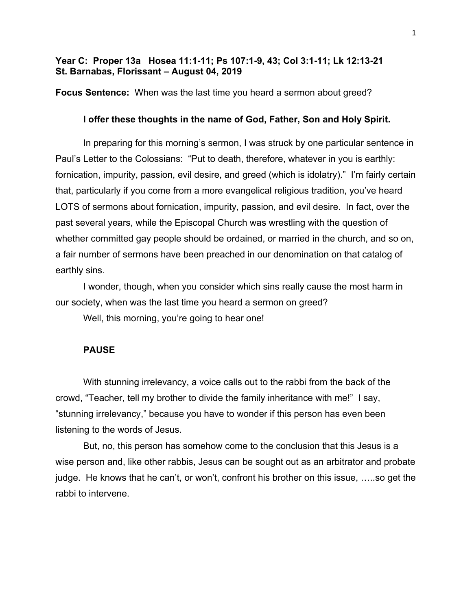# **Year C: Proper 13a Hosea 11:1-11; Ps 107:1-9, 43; Col 3:1-11; Lk 12:13-21 St. Barnabas, Florissant – August 04, 2019**

**Focus Sentence:** When was the last time you heard a sermon about greed?

# **I offer these thoughts in the name of God, Father, Son and Holy Spirit.**

In preparing for this morning's sermon, I was struck by one particular sentence in Paul's Letter to the Colossians: "Put to death, therefore, whatever in you is earthly: fornication, impurity, passion, evil desire, and greed (which is idolatry)." I'm fairly certain that, particularly if you come from a more evangelical religious tradition, you've heard LOTS of sermons about fornication, impurity, passion, and evil desire. In fact, over the past several years, while the Episcopal Church was wrestling with the question of whether committed gay people should be ordained, or married in the church, and so on, a fair number of sermons have been preached in our denomination on that catalog of earthly sins.

I wonder, though, when you consider which sins really cause the most harm in our society, when was the last time you heard a sermon on greed?

Well, this morning, you're going to hear one!

#### **PAUSE**

With stunning irrelevancy, a voice calls out to the rabbi from the back of the crowd, "Teacher, tell my brother to divide the family inheritance with me!" I say, "stunning irrelevancy," because you have to wonder if this person has even been listening to the words of Jesus.

But, no, this person has somehow come to the conclusion that this Jesus is a wise person and, like other rabbis, Jesus can be sought out as an arbitrator and probate judge. He knows that he can't, or won't, confront his brother on this issue, …..so get the rabbi to intervene.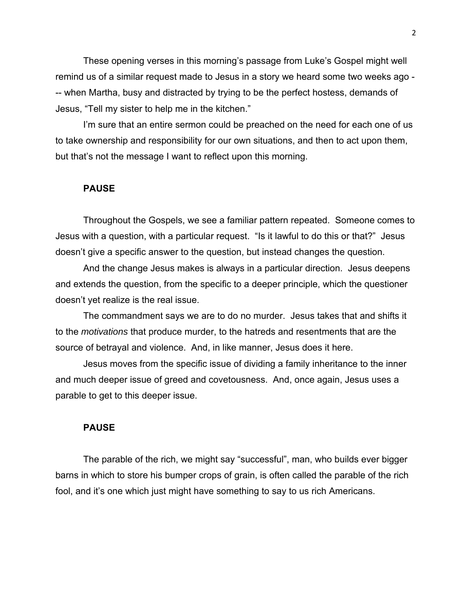These opening verses in this morning's passage from Luke's Gospel might well remind us of a similar request made to Jesus in a story we heard some two weeks ago - -- when Martha, busy and distracted by trying to be the perfect hostess, demands of Jesus, "Tell my sister to help me in the kitchen."

I'm sure that an entire sermon could be preached on the need for each one of us to take ownership and responsibility for our own situations, and then to act upon them, but that's not the message I want to reflect upon this morning.

### **PAUSE**

Throughout the Gospels, we see a familiar pattern repeated. Someone comes to Jesus with a question, with a particular request. "Is it lawful to do this or that?" Jesus doesn't give a specific answer to the question, but instead changes the question.

And the change Jesus makes is always in a particular direction. Jesus deepens and extends the question, from the specific to a deeper principle, which the questioner doesn't yet realize is the real issue.

The commandment says we are to do no murder. Jesus takes that and shifts it to the *motivations* that produce murder, to the hatreds and resentments that are the source of betrayal and violence. And, in like manner, Jesus does it here.

Jesus moves from the specific issue of dividing a family inheritance to the inner and much deeper issue of greed and covetousness. And, once again, Jesus uses a parable to get to this deeper issue.

### **PAUSE**

The parable of the rich, we might say "successful", man, who builds ever bigger barns in which to store his bumper crops of grain, is often called the parable of the rich fool, and it's one which just might have something to say to us rich Americans.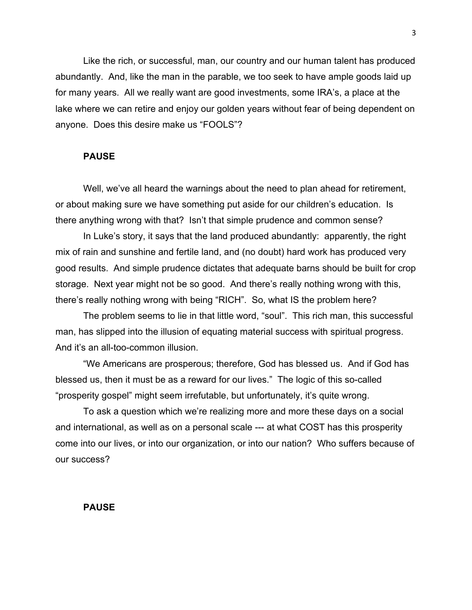Like the rich, or successful, man, our country and our human talent has produced abundantly. And, like the man in the parable, we too seek to have ample goods laid up for many years. All we really want are good investments, some IRA's, a place at the lake where we can retire and enjoy our golden years without fear of being dependent on anyone. Does this desire make us "FOOLS"?

### **PAUSE**

Well, we've all heard the warnings about the need to plan ahead for retirement, or about making sure we have something put aside for our children's education. Is there anything wrong with that? Isn't that simple prudence and common sense?

In Luke's story, it says that the land produced abundantly: apparently, the right mix of rain and sunshine and fertile land, and (no doubt) hard work has produced very good results. And simple prudence dictates that adequate barns should be built for crop storage. Next year might not be so good. And there's really nothing wrong with this, there's really nothing wrong with being "RICH". So, what IS the problem here?

The problem seems to lie in that little word, "soul". This rich man, this successful man, has slipped into the illusion of equating material success with spiritual progress. And it's an all-too-common illusion.

"We Americans are prosperous; therefore, God has blessed us. And if God has blessed us, then it must be as a reward for our lives." The logic of this so-called "prosperity gospel" might seem irrefutable, but unfortunately, it's quite wrong.

To ask a question which we're realizing more and more these days on a social and international, as well as on a personal scale --- at what COST has this prosperity come into our lives, or into our organization, or into our nation? Who suffers because of our success?

#### **PAUSE**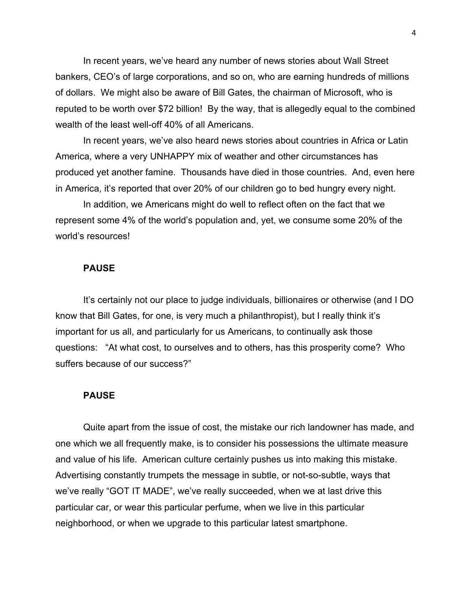In recent years, we've heard any number of news stories about Wall Street bankers, CEO's of large corporations, and so on, who are earning hundreds of millions of dollars. We might also be aware of Bill Gates, the chairman of Microsoft, who is reputed to be worth over \$72 billion! By the way, that is allegedly equal to the combined wealth of the least well-off 40% of all Americans.

In recent years, we've also heard news stories about countries in Africa or Latin America, where a very UNHAPPY mix of weather and other circumstances has produced yet another famine. Thousands have died in those countries. And, even here in America, it's reported that over 20% of our children go to bed hungry every night.

In addition, we Americans might do well to reflect often on the fact that we represent some 4% of the world's population and, yet, we consume some 20% of the world's resources!

### **PAUSE**

It's certainly not our place to judge individuals, billionaires or otherwise (and I DO know that Bill Gates, for one, is very much a philanthropist), but I really think it's important for us all, and particularly for us Americans, to continually ask those questions: "At what cost, to ourselves and to others, has this prosperity come? Who suffers because of our success?"

# **PAUSE**

Quite apart from the issue of cost, the mistake our rich landowner has made, and one which we all frequently make, is to consider his possessions the ultimate measure and value of his life. American culture certainly pushes us into making this mistake. Advertising constantly trumpets the message in subtle, or not-so-subtle, ways that we've really "GOT IT MADE", we've really succeeded, when we at last drive this particular car, or wear this particular perfume, when we live in this particular neighborhood, or when we upgrade to this particular latest smartphone.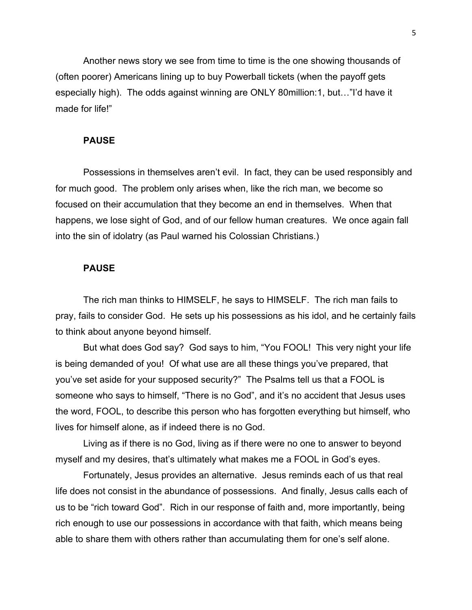Another news story we see from time to time is the one showing thousands of (often poorer) Americans lining up to buy Powerball tickets (when the payoff gets especially high). The odds against winning are ONLY 80million:1, but…"I'd have it made for life!"

### **PAUSE**

Possessions in themselves aren't evil. In fact, they can be used responsibly and for much good. The problem only arises when, like the rich man, we become so focused on their accumulation that they become an end in themselves. When that happens, we lose sight of God, and of our fellow human creatures. We once again fall into the sin of idolatry (as Paul warned his Colossian Christians.)

### **PAUSE**

The rich man thinks to HIMSELF, he says to HIMSELF. The rich man fails to pray, fails to consider God. He sets up his possessions as his idol, and he certainly fails to think about anyone beyond himself.

But what does God say? God says to him, "You FOOL! This very night your life is being demanded of you! Of what use are all these things you've prepared, that you've set aside for your supposed security?" The Psalms tell us that a FOOL is someone who says to himself, "There is no God", and it's no accident that Jesus uses the word, FOOL, to describe this person who has forgotten everything but himself, who lives for himself alone, as if indeed there is no God.

Living as if there is no God, living as if there were no one to answer to beyond myself and my desires, that's ultimately what makes me a FOOL in God's eyes.

Fortunately, Jesus provides an alternative. Jesus reminds each of us that real life does not consist in the abundance of possessions. And finally, Jesus calls each of us to be "rich toward God". Rich in our response of faith and, more importantly, being rich enough to use our possessions in accordance with that faith, which means being able to share them with others rather than accumulating them for one's self alone.